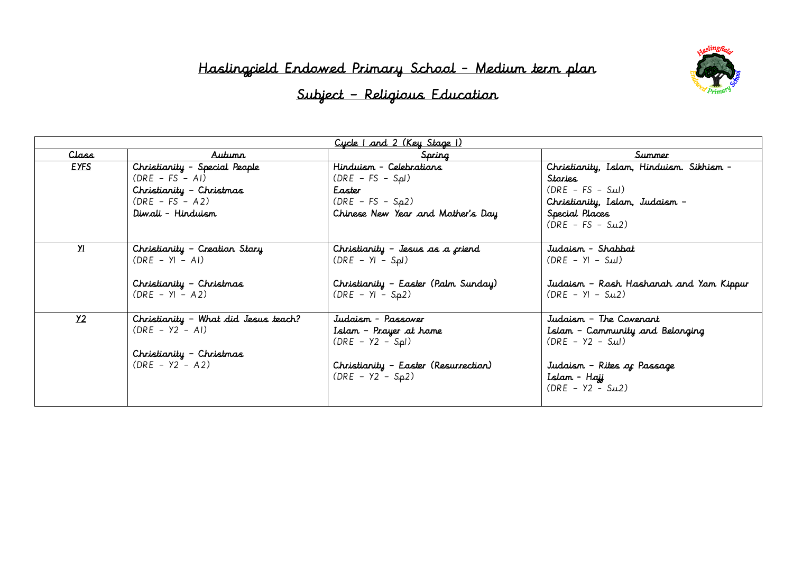## Haslingfield Endowed Primary School - Medium term plan



# Subject – Religious Education

| Cycle   and 2 (Key Stage 1) |                                      |                                      |                                          |  |
|-----------------------------|--------------------------------------|--------------------------------------|------------------------------------------|--|
| <u>Class</u>                | Autunn                               | Spring                               | Summer                                   |  |
| <b>EYFS</b>                 | Christianity - Special People        | Hinduism - Celebrations              | Christianity, Islam, Hinduism. Sikhism - |  |
|                             | $(DRE - FS - AI)$                    | $(DRE - FS - Spl)$                   | Stories                                  |  |
|                             | Christianity - Christmas             | Easter                               | $(DRE - FS - Sul)$                       |  |
|                             | $(DRE - FS - A2)$                    | $(DRE - FS - Sp2)$                   | Christianity, Islam, Judaism -           |  |
|                             | Diwali – Hinduism                    | Chinese New Year and Mother's Day    | Special Places                           |  |
|                             |                                      |                                      | $(DRE - FS - Su2)$                       |  |
|                             |                                      |                                      |                                          |  |
| $\overline{\mathbf{X}}$     | Christianity - Creation Story        | Christianity - Jesus as a criend     | Judaism - Shabbat                        |  |
|                             | $(DRE - YI - AI)$                    | $(DRE - YI - SPLI)$                  | $(DRE - YI - SuI)$                       |  |
|                             |                                      |                                      |                                          |  |
|                             | Christianity - Christmas             | Christianity - Easter (Palm Sunday)  | Judaism - Rosh Hashanah and Yom Kippur   |  |
|                             | $(DRE - YI - A2)$                    | $(DRE - YI - S_{p2})$                | $(DRE - YI - Su2)$                       |  |
|                             |                                      |                                      |                                          |  |
| Y <sub>2</sub>              | Christianity - What did Jesus teach? | Judaism - Passaver                   | Judaism - The Coverant                   |  |
|                             | $(DRE - Y2 - AI)$                    | Islam - Prayer at home               | Islam - Community and Belonging          |  |
|                             |                                      | $(DRE - Y2 - Spl)$                   | $(DRE - Y2 - Su)$                        |  |
|                             | Christianity - Christmas             |                                      |                                          |  |
|                             | $(DRE - Y2 - A2)$                    | Christianity - Easter (Resurrection) | Judaism - Rites of Passage               |  |
|                             |                                      | $(DRE - Y2 - Sp2)$                   | Islam - Hajj                             |  |
|                             |                                      |                                      | $(DRE - Y2 - Su2)$                       |  |
|                             |                                      |                                      |                                          |  |